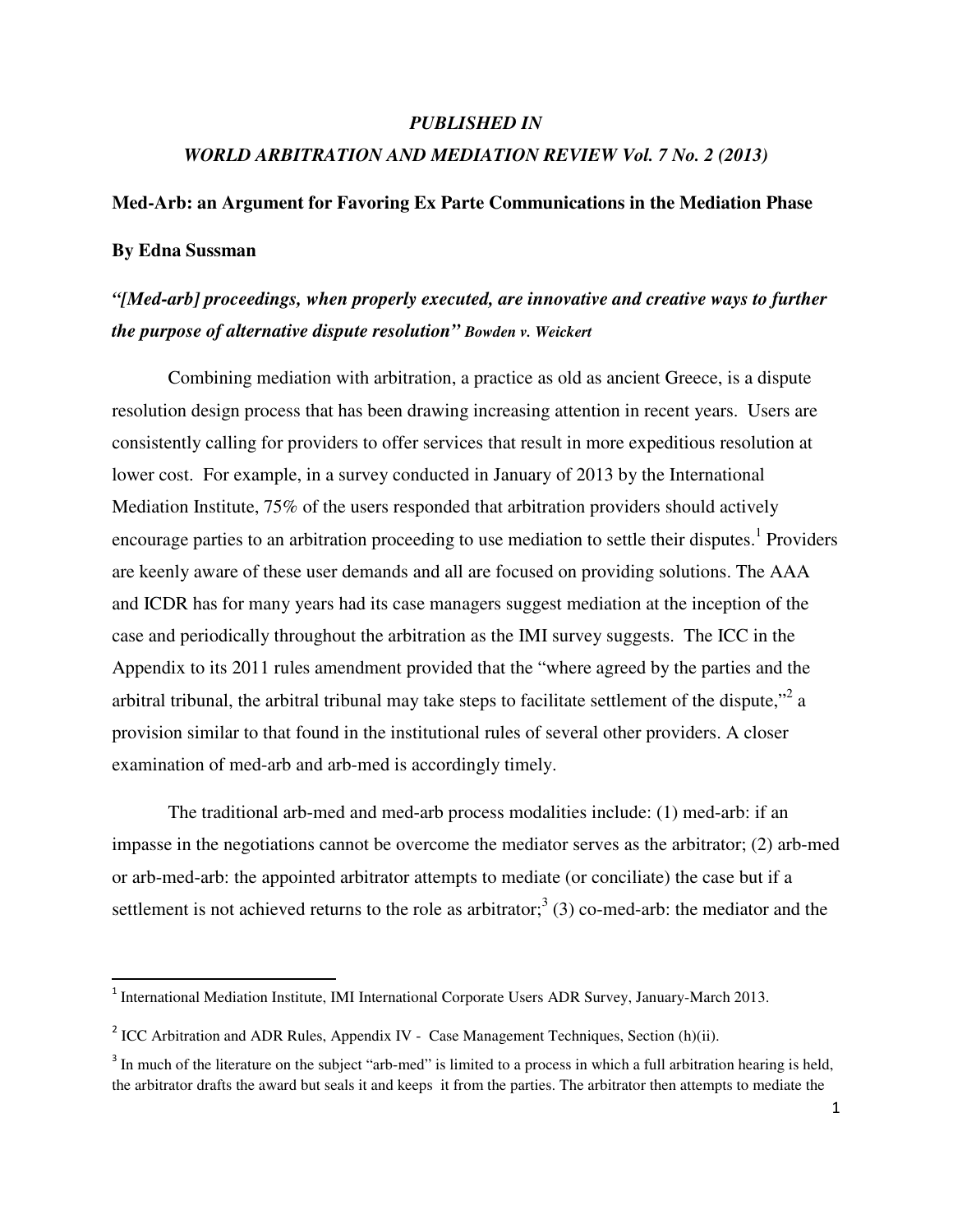## *PUBLISHED IN*

# *WORLD ARBITRATION AND MEDIATION REVIEW Vol. 7 No. 2 (2013)*

#### **Med-Arb: an Argument for Favoring Ex Parte Communications in the Mediation Phase**

## **By Edna Sussman**

l

# *"[Med-arb] proceedings, when properly executed, are innovative and creative ways to further the purpose of alternative dispute resolution" Bowden v. Weickert*

Combining mediation with arbitration, a practice as old as ancient Greece, is a dispute resolution design process that has been drawing increasing attention in recent years. Users are consistently calling for providers to offer services that result in more expeditious resolution at lower cost. For example, in a survey conducted in January of 2013 by the International Mediation Institute, 75% of the users responded that arbitration providers should actively encourage parties to an arbitration proceeding to use mediation to settle their disputes.<sup>1</sup> Providers are keenly aware of these user demands and all are focused on providing solutions. The AAA and ICDR has for many years had its case managers suggest mediation at the inception of the case and periodically throughout the arbitration as the IMI survey suggests. The ICC in the Appendix to its 2011 rules amendment provided that the "where agreed by the parties and the arbitral tribunal, the arbitral tribunal may take steps to facilitate settlement of the dispute,"  $2a$ provision similar to that found in the institutional rules of several other providers. A closer examination of med-arb and arb-med is accordingly timely.

The traditional arb-med and med-arb process modalities include: (1) med-arb: if an impasse in the negotiations cannot be overcome the mediator serves as the arbitrator; (2) arb-med or arb-med-arb: the appointed arbitrator attempts to mediate (or conciliate) the case but if a settlement is not achieved returns to the role as arbitrator;<sup>3</sup> (3) co-med-arb: the mediator and the

<sup>&</sup>lt;sup>1</sup> International Mediation Institute, IMI International Corporate Users ADR Survey, January-March 2013.

<sup>&</sup>lt;sup>2</sup> ICC Arbitration and ADR Rules, Appendix IV - Case Management Techniques, Section (h)(ii).

 $3$  In much of the literature on the subject "arb-med" is limited to a process in which a full arbitration hearing is held, the arbitrator drafts the award but seals it and keeps it from the parties. The arbitrator then attempts to mediate the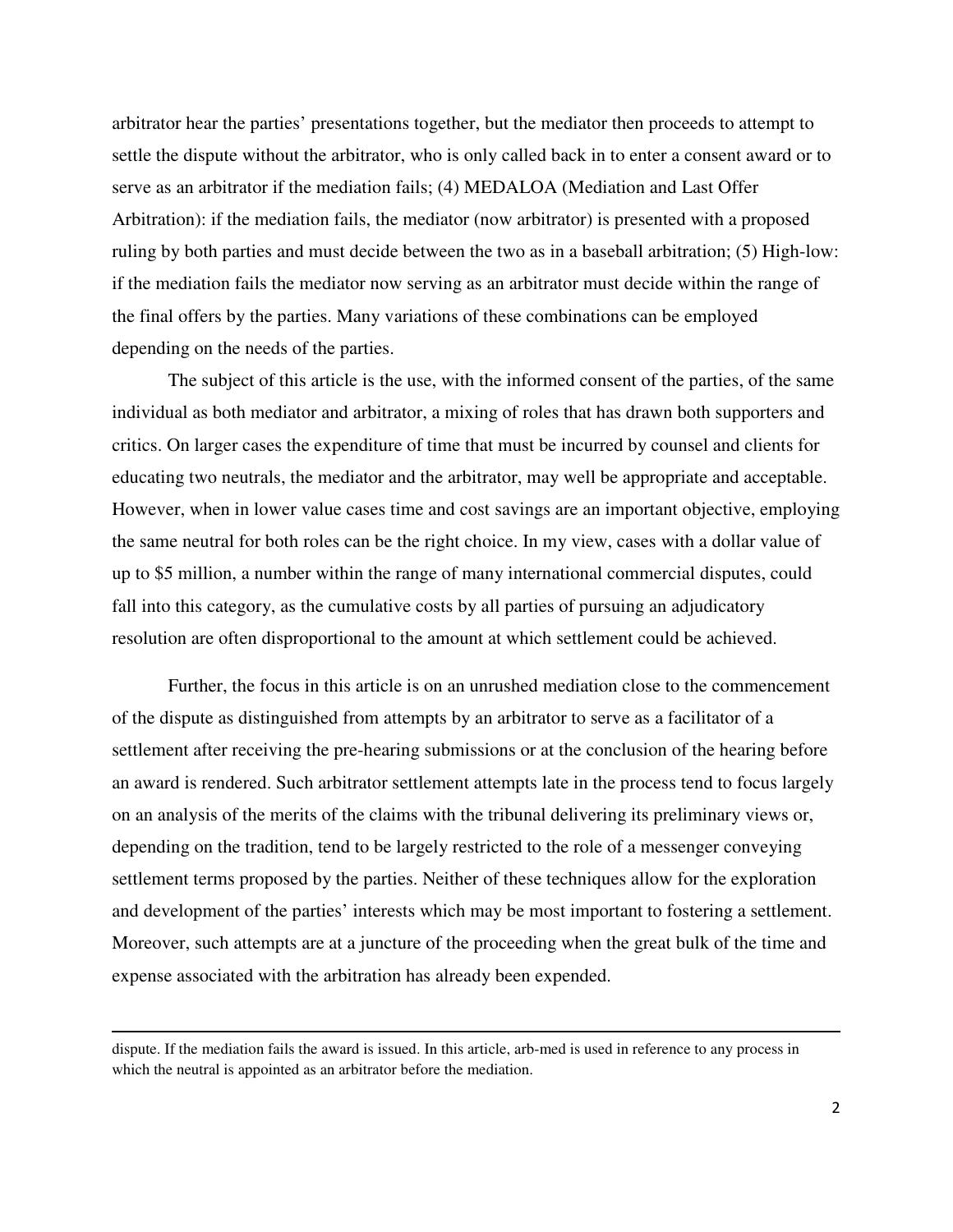arbitrator hear the parties' presentations together, but the mediator then proceeds to attempt to settle the dispute without the arbitrator, who is only called back in to enter a consent award or to serve as an arbitrator if the mediation fails; (4) MEDALOA (Mediation and Last Offer Arbitration): if the mediation fails, the mediator (now arbitrator) is presented with a proposed ruling by both parties and must decide between the two as in a baseball arbitration; (5) High-low: if the mediation fails the mediator now serving as an arbitrator must decide within the range of the final offers by the parties. Many variations of these combinations can be employed depending on the needs of the parties.

The subject of this article is the use, with the informed consent of the parties, of the same individual as both mediator and arbitrator, a mixing of roles that has drawn both supporters and critics. On larger cases the expenditure of time that must be incurred by counsel and clients for educating two neutrals, the mediator and the arbitrator, may well be appropriate and acceptable. However, when in lower value cases time and cost savings are an important objective, employing the same neutral for both roles can be the right choice. In my view, cases with a dollar value of up to \$5 million, a number within the range of many international commercial disputes, could fall into this category, as the cumulative costs by all parties of pursuing an adjudicatory resolution are often disproportional to the amount at which settlement could be achieved.

Further, the focus in this article is on an unrushed mediation close to the commencement of the dispute as distinguished from attempts by an arbitrator to serve as a facilitator of a settlement after receiving the pre-hearing submissions or at the conclusion of the hearing before an award is rendered. Such arbitrator settlement attempts late in the process tend to focus largely on an analysis of the merits of the claims with the tribunal delivering its preliminary views or, depending on the tradition, tend to be largely restricted to the role of a messenger conveying settlement terms proposed by the parties. Neither of these techniques allow for the exploration and development of the parties' interests which may be most important to fostering a settlement. Moreover, such attempts are at a juncture of the proceeding when the great bulk of the time and expense associated with the arbitration has already been expended.

l

dispute. If the mediation fails the award is issued. In this article, arb-med is used in reference to any process in which the neutral is appointed as an arbitrator before the mediation.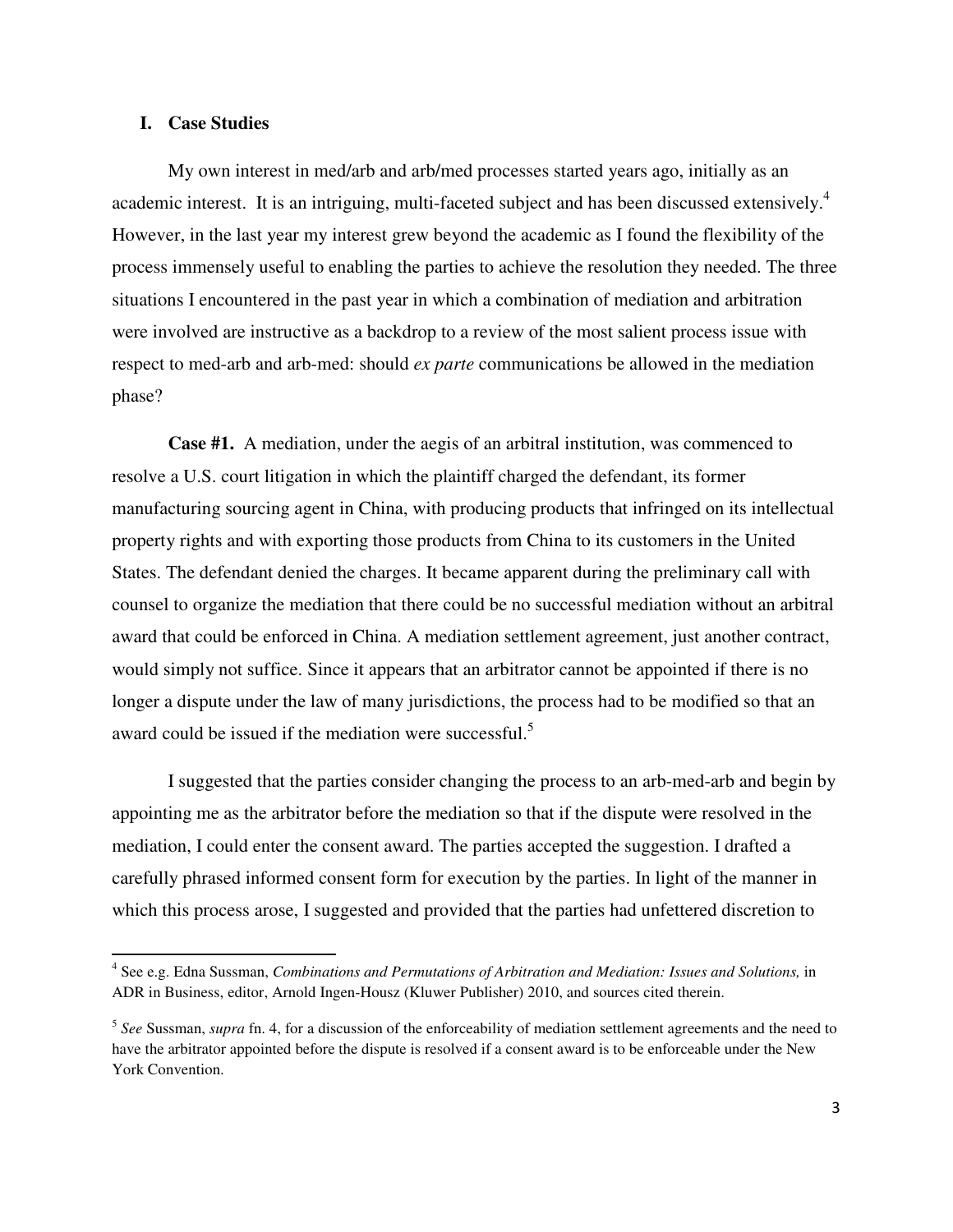### **I. Case Studies**

 $\overline{a}$ 

My own interest in med/arb and arb/med processes started years ago, initially as an academic interest. It is an intriguing, multi-faceted subject and has been discussed extensively.<sup>4</sup> However, in the last year my interest grew beyond the academic as I found the flexibility of the process immensely useful to enabling the parties to achieve the resolution they needed. The three situations I encountered in the past year in which a combination of mediation and arbitration were involved are instructive as a backdrop to a review of the most salient process issue with respect to med-arb and arb-med: should *ex parte* communications be allowed in the mediation phase?

**Case #1.** A mediation, under the aegis of an arbitral institution, was commenced to resolve a U.S. court litigation in which the plaintiff charged the defendant, its former manufacturing sourcing agent in China, with producing products that infringed on its intellectual property rights and with exporting those products from China to its customers in the United States. The defendant denied the charges. It became apparent during the preliminary call with counsel to organize the mediation that there could be no successful mediation without an arbitral award that could be enforced in China. A mediation settlement agreement, just another contract, would simply not suffice. Since it appears that an arbitrator cannot be appointed if there is no longer a dispute under the law of many jurisdictions, the process had to be modified so that an award could be issued if the mediation were successful.<sup>5</sup>

 I suggested that the parties consider changing the process to an arb-med-arb and begin by appointing me as the arbitrator before the mediation so that if the dispute were resolved in the mediation, I could enter the consent award. The parties accepted the suggestion. I drafted a carefully phrased informed consent form for execution by the parties. In light of the manner in which this process arose, I suggested and provided that the parties had unfettered discretion to

<sup>4</sup> See e.g. Edna Sussman, *Combinations and Permutations of Arbitration and Mediation: Issues and Solutions,* in ADR in Business, editor, Arnold Ingen-Housz (Kluwer Publisher) 2010, and sources cited therein.

<sup>5</sup> *See* Sussman, *supra* fn. 4, for a discussion of the enforceability of mediation settlement agreements and the need to have the arbitrator appointed before the dispute is resolved if a consent award is to be enforceable under the New York Convention.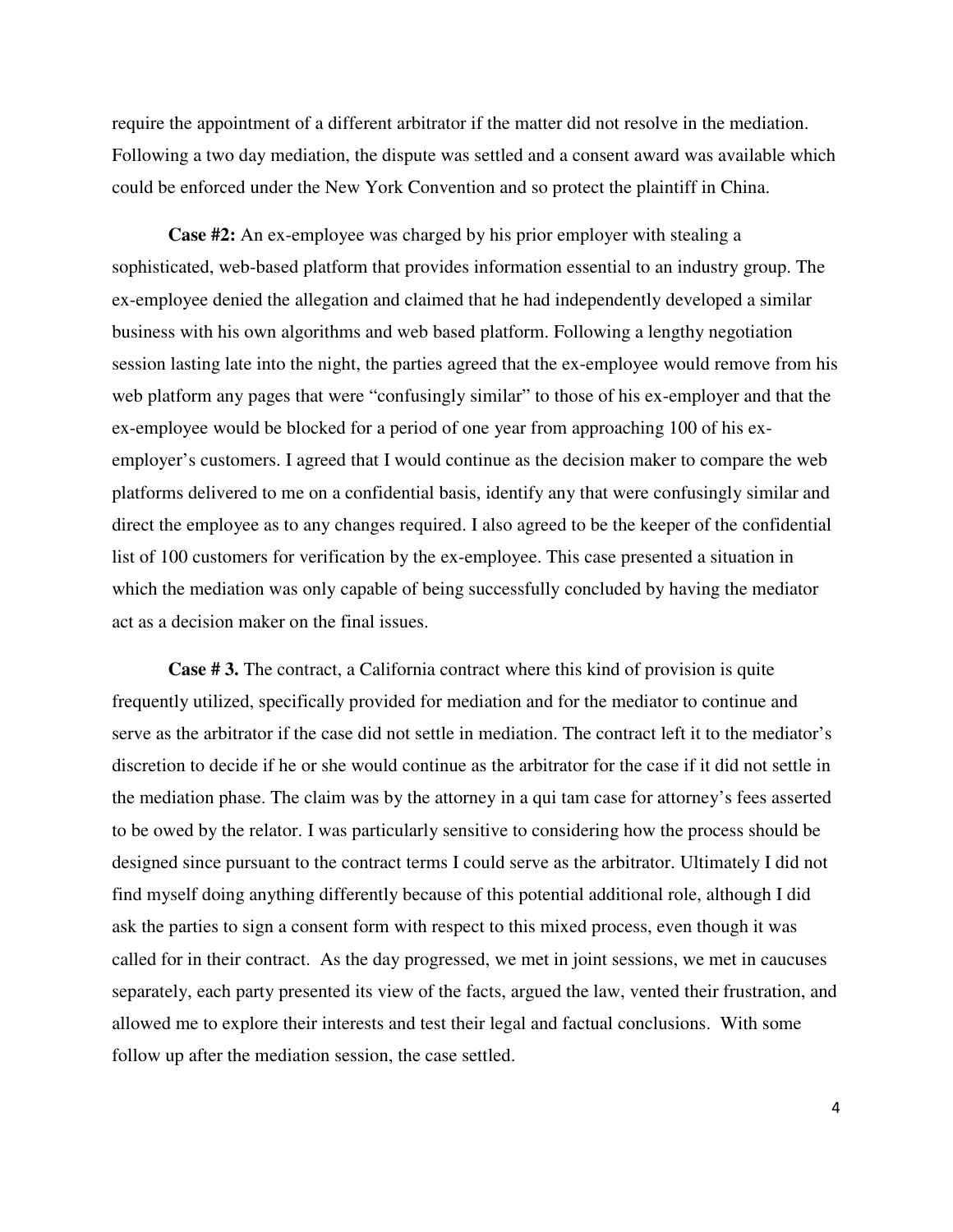require the appointment of a different arbitrator if the matter did not resolve in the mediation. Following a two day mediation, the dispute was settled and a consent award was available which could be enforced under the New York Convention and so protect the plaintiff in China.

**Case #2:** An ex-employee was charged by his prior employer with stealing a sophisticated, web-based platform that provides information essential to an industry group. The ex-employee denied the allegation and claimed that he had independently developed a similar business with his own algorithms and web based platform. Following a lengthy negotiation session lasting late into the night, the parties agreed that the ex-employee would remove from his web platform any pages that were "confusingly similar" to those of his ex-employer and that the ex-employee would be blocked for a period of one year from approaching 100 of his exemployer's customers. I agreed that I would continue as the decision maker to compare the web platforms delivered to me on a confidential basis, identify any that were confusingly similar and direct the employee as to any changes required. I also agreed to be the keeper of the confidential list of 100 customers for verification by the ex-employee. This case presented a situation in which the mediation was only capable of being successfully concluded by having the mediator act as a decision maker on the final issues.

**Case # 3.** The contract, a California contract where this kind of provision is quite frequently utilized, specifically provided for mediation and for the mediator to continue and serve as the arbitrator if the case did not settle in mediation. The contract left it to the mediator's discretion to decide if he or she would continue as the arbitrator for the case if it did not settle in the mediation phase. The claim was by the attorney in a qui tam case for attorney's fees asserted to be owed by the relator. I was particularly sensitive to considering how the process should be designed since pursuant to the contract terms I could serve as the arbitrator. Ultimately I did not find myself doing anything differently because of this potential additional role, although I did ask the parties to sign a consent form with respect to this mixed process, even though it was called for in their contract. As the day progressed, we met in joint sessions, we met in caucuses separately, each party presented its view of the facts, argued the law, vented their frustration, and allowed me to explore their interests and test their legal and factual conclusions. With some follow up after the mediation session, the case settled.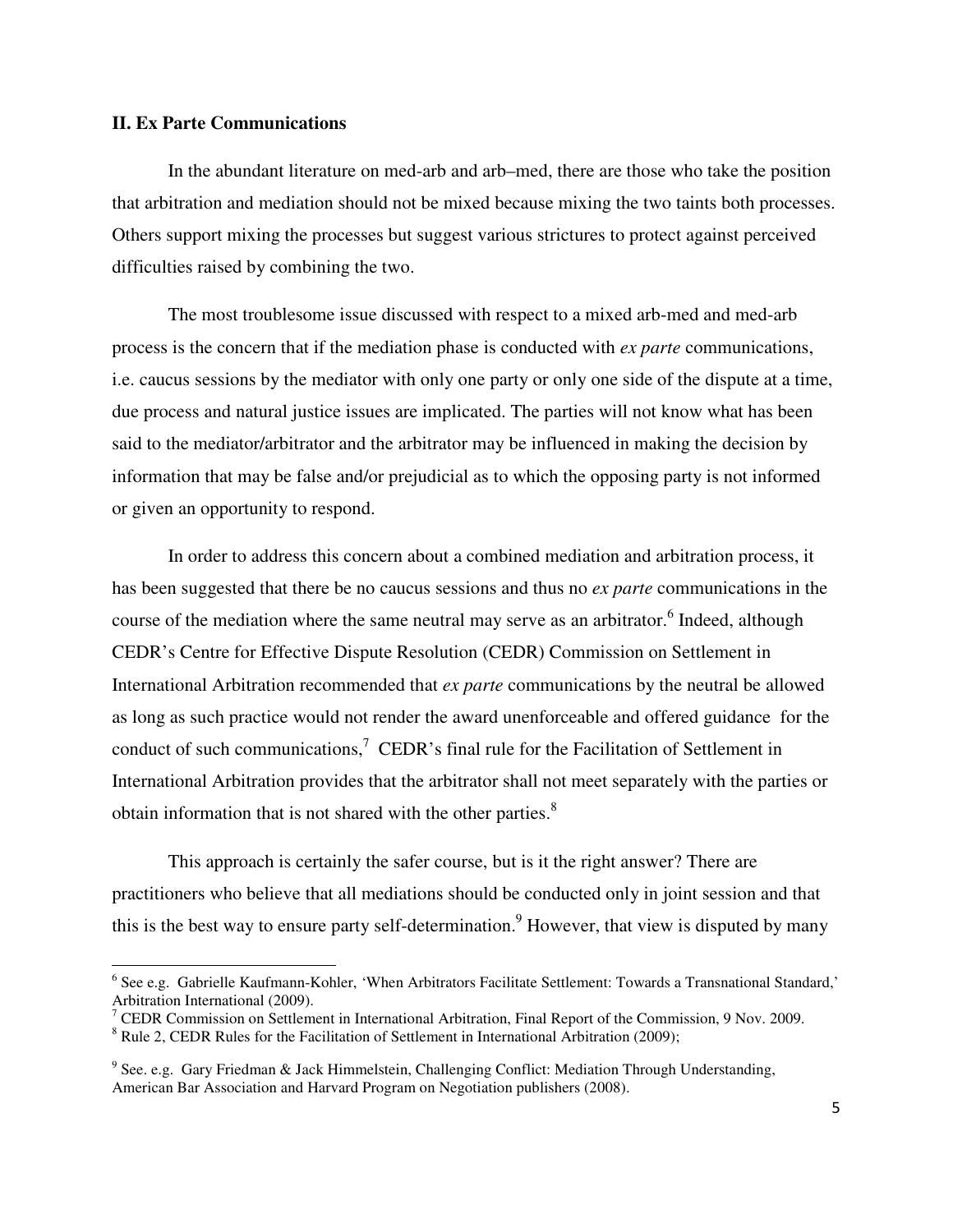#### **II. Ex Parte Communications**

 $\overline{a}$ 

In the abundant literature on med-arb and arb–med, there are those who take the position that arbitration and mediation should not be mixed because mixing the two taints both processes. Others support mixing the processes but suggest various strictures to protect against perceived difficulties raised by combining the two.

The most troublesome issue discussed with respect to a mixed arb-med and med-arb process is the concern that if the mediation phase is conducted with *ex parte* communications, i.e. caucus sessions by the mediator with only one party or only one side of the dispute at a time, due process and natural justice issues are implicated. The parties will not know what has been said to the mediator/arbitrator and the arbitrator may be influenced in making the decision by information that may be false and/or prejudicial as to which the opposing party is not informed or given an opportunity to respond.

In order to address this concern about a combined mediation and arbitration process, it has been suggested that there be no caucus sessions and thus no *ex parte* communications in the course of the mediation where the same neutral may serve as an arbitrator.<sup>6</sup> Indeed, although CEDR's Centre for Effective Dispute Resolution (CEDR) Commission on Settlement in International Arbitration recommended that *ex parte* communications by the neutral be allowed as long as such practice would not render the award unenforceable and offered guidance for the conduct of such communications,<sup>7</sup> CEDR's final rule for the Facilitation of Settlement in International Arbitration provides that the arbitrator shall not meet separately with the parties or obtain information that is not shared with the other parties.<sup>8</sup>

This approach is certainly the safer course, but is it the right answer? There are practitioners who believe that all mediations should be conducted only in joint session and that this is the best way to ensure party self-determination.<sup>9</sup> However, that view is disputed by many

<sup>&</sup>lt;sup>6</sup> See e.g. Gabrielle Kaufmann-Kohler, 'When Arbitrators Facilitate Settlement: Towards a Transnational Standard,'

Arbitration International (2009).<br><sup>7</sup> CEDR Commission on Settlement in International Arbitration, Final Report of the Commission, 9 Nov. 2009. <sup>8</sup> Rule 2, CEDR Rules for the Facilitation of Settlement in International Arbitration (2009);

<sup>&</sup>lt;sup>9</sup> See. e.g. Gary Friedman & Jack Himmelstein, Challenging Conflict: Mediation Through Understanding,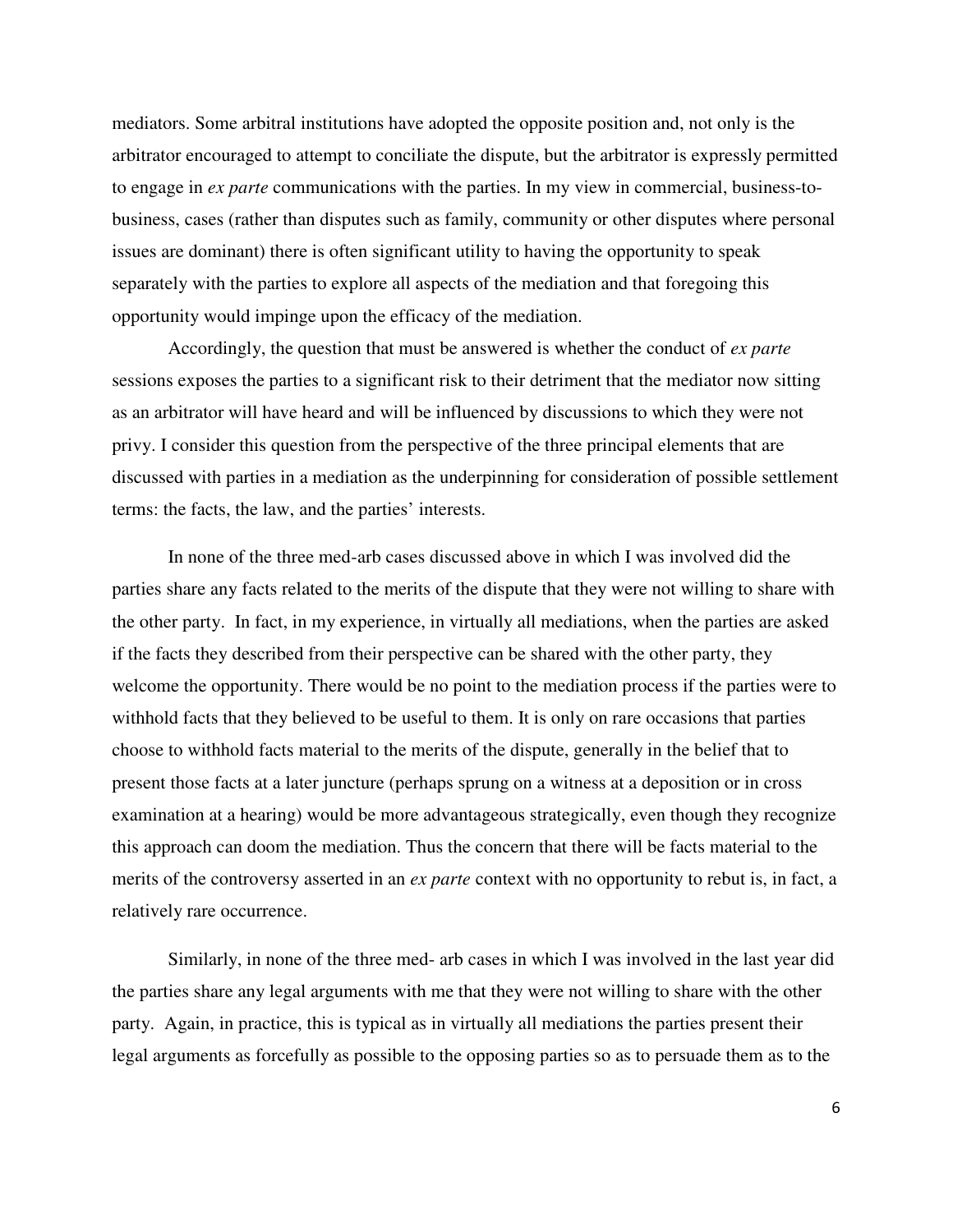mediators. Some arbitral institutions have adopted the opposite position and, not only is the arbitrator encouraged to attempt to conciliate the dispute, but the arbitrator is expressly permitted to engage in *ex parte* communications with the parties. In my view in commercial, business-tobusiness, cases (rather than disputes such as family, community or other disputes where personal issues are dominant) there is often significant utility to having the opportunity to speak separately with the parties to explore all aspects of the mediation and that foregoing this opportunity would impinge upon the efficacy of the mediation.

Accordingly, the question that must be answered is whether the conduct of *ex parte* sessions exposes the parties to a significant risk to their detriment that the mediator now sitting as an arbitrator will have heard and will be influenced by discussions to which they were not privy. I consider this question from the perspective of the three principal elements that are discussed with parties in a mediation as the underpinning for consideration of possible settlement terms: the facts, the law, and the parties' interests.

 In none of the three med-arb cases discussed above in which I was involved did the parties share any facts related to the merits of the dispute that they were not willing to share with the other party. In fact, in my experience, in virtually all mediations, when the parties are asked if the facts they described from their perspective can be shared with the other party, they welcome the opportunity. There would be no point to the mediation process if the parties were to withhold facts that they believed to be useful to them. It is only on rare occasions that parties choose to withhold facts material to the merits of the dispute, generally in the belief that to present those facts at a later juncture (perhaps sprung on a witness at a deposition or in cross examination at a hearing) would be more advantageous strategically, even though they recognize this approach can doom the mediation. Thus the concern that there will be facts material to the merits of the controversy asserted in an *ex parte* context with no opportunity to rebut is, in fact, a relatively rare occurrence.

Similarly, in none of the three med- arb cases in which I was involved in the last year did the parties share any legal arguments with me that they were not willing to share with the other party. Again, in practice, this is typical as in virtually all mediations the parties present their legal arguments as forcefully as possible to the opposing parties so as to persuade them as to the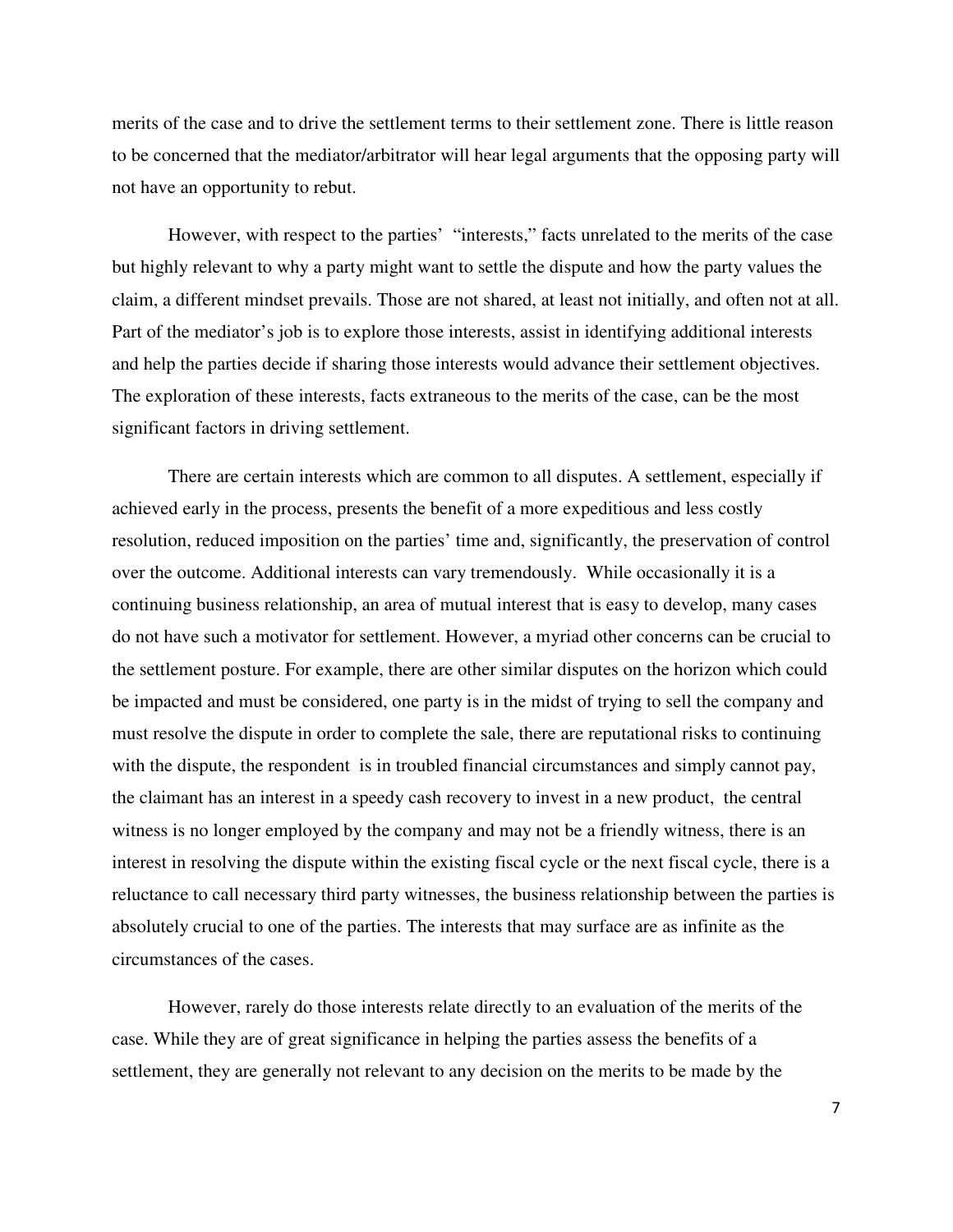merits of the case and to drive the settlement terms to their settlement zone. There is little reason to be concerned that the mediator/arbitrator will hear legal arguments that the opposing party will not have an opportunity to rebut.

However, with respect to the parties' "interests," facts unrelated to the merits of the case but highly relevant to why a party might want to settle the dispute and how the party values the claim, a different mindset prevails. Those are not shared, at least not initially, and often not at all. Part of the mediator's job is to explore those interests, assist in identifying additional interests and help the parties decide if sharing those interests would advance their settlement objectives. The exploration of these interests, facts extraneous to the merits of the case, can be the most significant factors in driving settlement.

There are certain interests which are common to all disputes. A settlement, especially if achieved early in the process, presents the benefit of a more expeditious and less costly resolution, reduced imposition on the parties' time and, significantly, the preservation of control over the outcome. Additional interests can vary tremendously. While occasionally it is a continuing business relationship, an area of mutual interest that is easy to develop, many cases do not have such a motivator for settlement. However, a myriad other concerns can be crucial to the settlement posture. For example, there are other similar disputes on the horizon which could be impacted and must be considered, one party is in the midst of trying to sell the company and must resolve the dispute in order to complete the sale, there are reputational risks to continuing with the dispute, the respondent is in troubled financial circumstances and simply cannot pay, the claimant has an interest in a speedy cash recovery to invest in a new product, the central witness is no longer employed by the company and may not be a friendly witness, there is an interest in resolving the dispute within the existing fiscal cycle or the next fiscal cycle, there is a reluctance to call necessary third party witnesses, the business relationship between the parties is absolutely crucial to one of the parties. The interests that may surface are as infinite as the circumstances of the cases.

However, rarely do those interests relate directly to an evaluation of the merits of the case. While they are of great significance in helping the parties assess the benefits of a settlement, they are generally not relevant to any decision on the merits to be made by the

7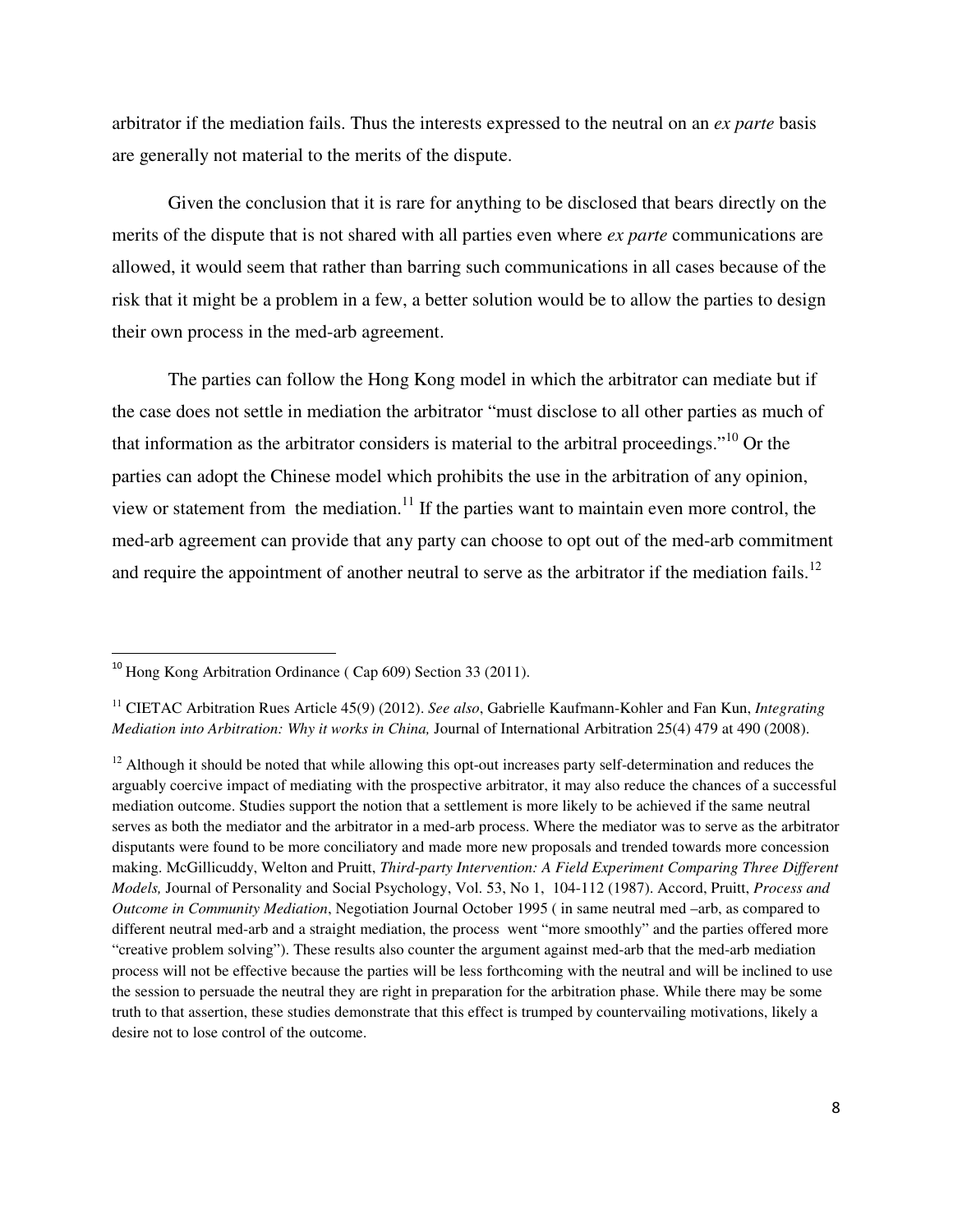arbitrator if the mediation fails. Thus the interests expressed to the neutral on an *ex parte* basis are generally not material to the merits of the dispute.

Given the conclusion that it is rare for anything to be disclosed that bears directly on the merits of the dispute that is not shared with all parties even where *ex parte* communications are allowed, it would seem that rather than barring such communications in all cases because of the risk that it might be a problem in a few, a better solution would be to allow the parties to design their own process in the med-arb agreement.

The parties can follow the Hong Kong model in which the arbitrator can mediate but if the case does not settle in mediation the arbitrator "must disclose to all other parties as much of that information as the arbitrator considers is material to the arbitral proceedings."<sup>10</sup> Or the parties can adopt the Chinese model which prohibits the use in the arbitration of any opinion, view or statement from the mediation.<sup>11</sup> If the parties want to maintain even more control, the med-arb agreement can provide that any party can choose to opt out of the med-arb commitment and require the appointment of another neutral to serve as the arbitrator if the mediation fails.<sup>12</sup>

 $\overline{a}$ 

<sup>&</sup>lt;sup>10</sup> Hong Kong Arbitration Ordinance ( Cap 609) Section 33 (2011).

<sup>11</sup> CIETAC Arbitration Rues Article 45(9) (2012). *See also*, Gabrielle Kaufmann-Kohler and Fan Kun, *Integrating Mediation into Arbitration: Why it works in China,* Journal of International Arbitration 25(4) 479 at 490 (2008).

 $12$  Although it should be noted that while allowing this opt-out increases party self-determination and reduces the arguably coercive impact of mediating with the prospective arbitrator, it may also reduce the chances of a successful mediation outcome. Studies support the notion that a settlement is more likely to be achieved if the same neutral serves as both the mediator and the arbitrator in a med-arb process. Where the mediator was to serve as the arbitrator disputants were found to be more conciliatory and made more new proposals and trended towards more concession making. McGillicuddy, Welton and Pruitt, *Third-party Intervention: A Field Experiment Comparing Three Different Models,* Journal of Personality and Social Psychology, Vol. 53, No 1, 104-112 (1987). Accord, Pruitt, *Process and Outcome in Community Mediation*, Negotiation Journal October 1995 ( in same neutral med –arb, as compared to different neutral med-arb and a straight mediation, the process went "more smoothly" and the parties offered more "creative problem solving"). These results also counter the argument against med-arb that the med-arb mediation process will not be effective because the parties will be less forthcoming with the neutral and will be inclined to use the session to persuade the neutral they are right in preparation for the arbitration phase. While there may be some truth to that assertion, these studies demonstrate that this effect is trumped by countervailing motivations, likely a desire not to lose control of the outcome.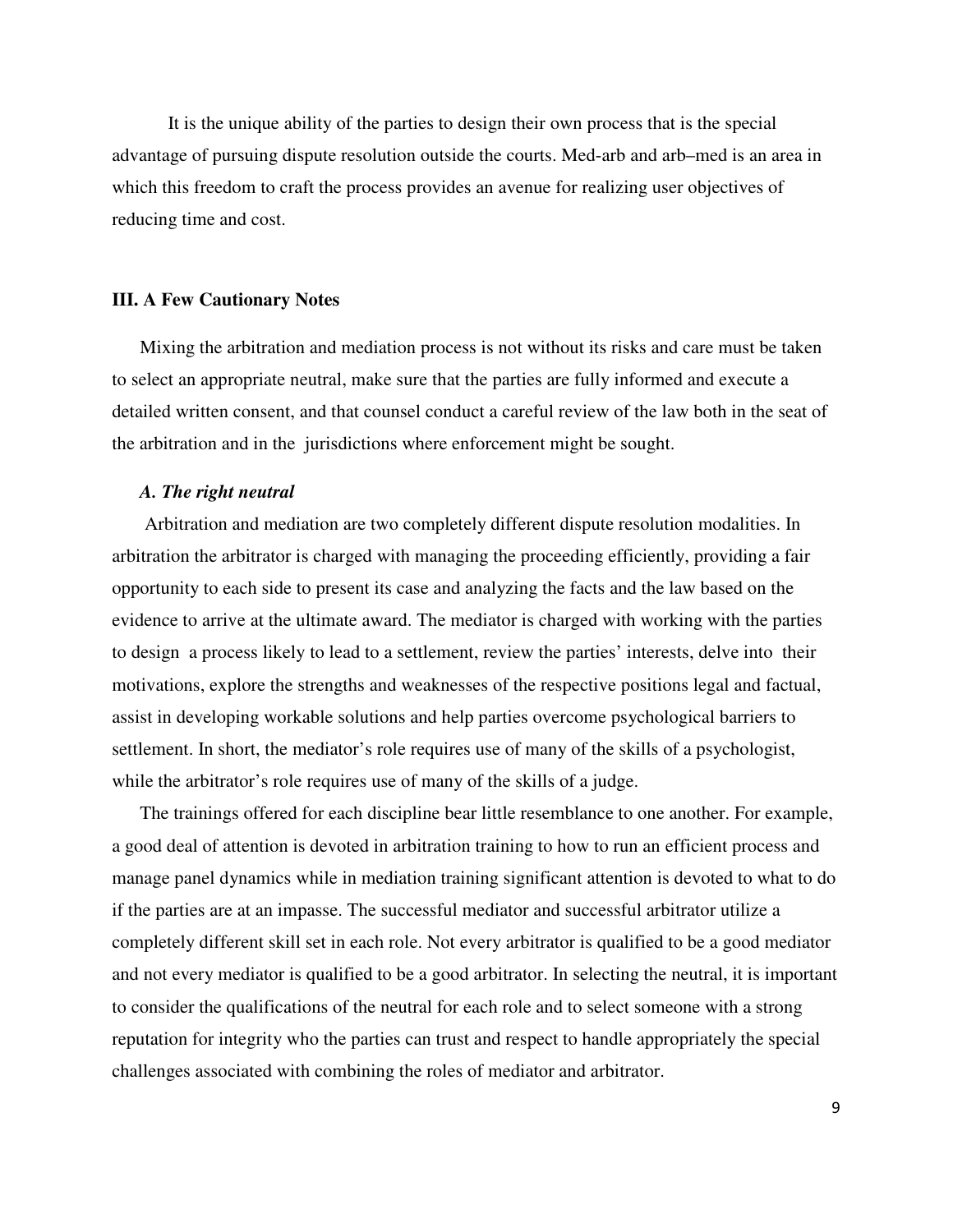It is the unique ability of the parties to design their own process that is the special advantage of pursuing dispute resolution outside the courts. Med-arb and arb–med is an area in which this freedom to craft the process provides an avenue for realizing user objectives of reducing time and cost.

### **III. A Few Cautionary Notes**

Mixing the arbitration and mediation process is not without its risks and care must be taken to select an appropriate neutral, make sure that the parties are fully informed and execute a detailed written consent, and that counsel conduct a careful review of the law both in the seat of the arbitration and in the jurisdictions where enforcement might be sought.

#### *A. The right neutral*

 Arbitration and mediation are two completely different dispute resolution modalities. In arbitration the arbitrator is charged with managing the proceeding efficiently, providing a fair opportunity to each side to present its case and analyzing the facts and the law based on the evidence to arrive at the ultimate award. The mediator is charged with working with the parties to design a process likely to lead to a settlement, review the parties' interests, delve into their motivations, explore the strengths and weaknesses of the respective positions legal and factual, assist in developing workable solutions and help parties overcome psychological barriers to settlement. In short, the mediator's role requires use of many of the skills of a psychologist, while the arbitrator's role requires use of many of the skills of a judge.

The trainings offered for each discipline bear little resemblance to one another. For example, a good deal of attention is devoted in arbitration training to how to run an efficient process and manage panel dynamics while in mediation training significant attention is devoted to what to do if the parties are at an impasse. The successful mediator and successful arbitrator utilize a completely different skill set in each role. Not every arbitrator is qualified to be a good mediator and not every mediator is qualified to be a good arbitrator. In selecting the neutral, it is important to consider the qualifications of the neutral for each role and to select someone with a strong reputation for integrity who the parties can trust and respect to handle appropriately the special challenges associated with combining the roles of mediator and arbitrator.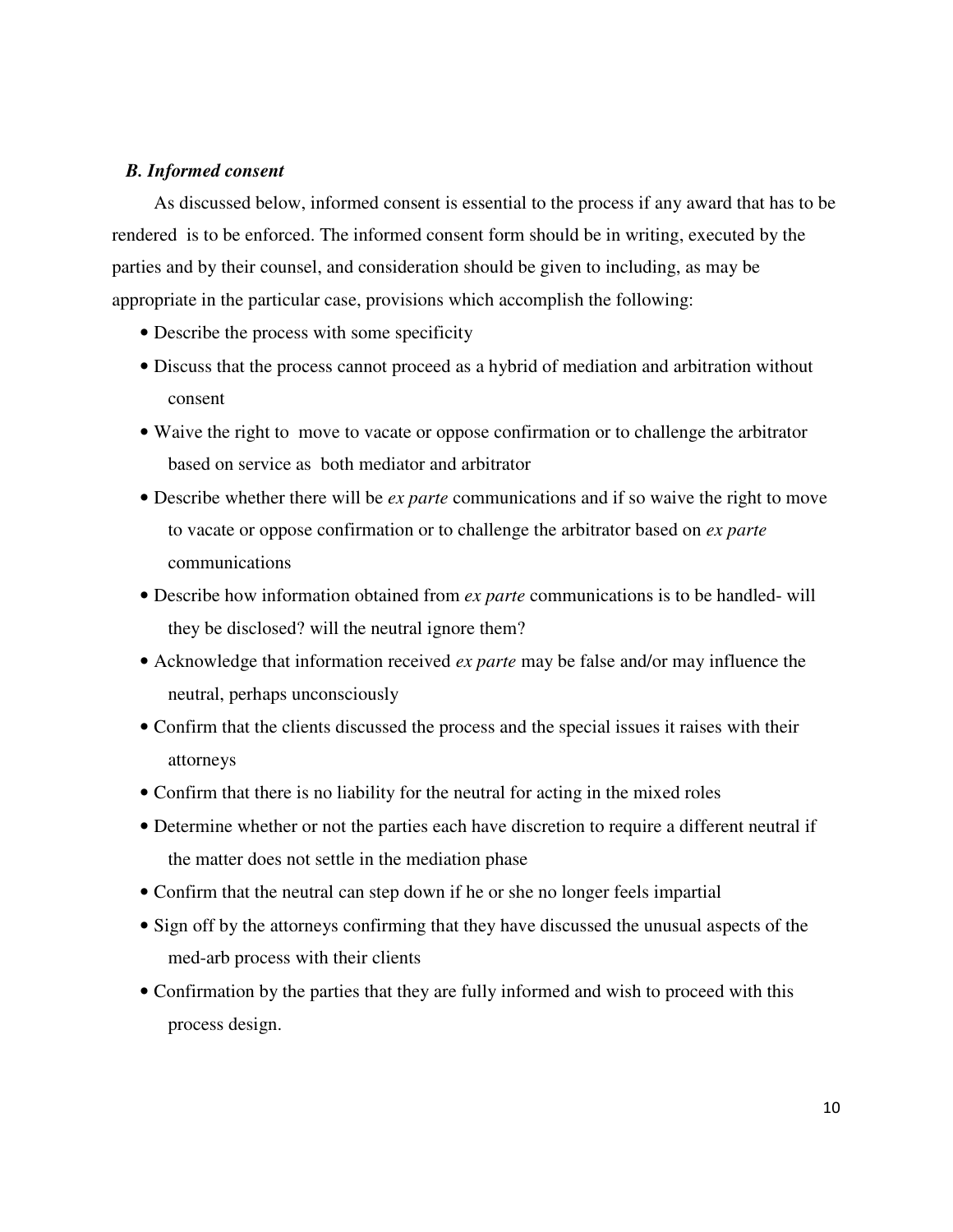## *B. Informed consent*

 As discussed below, informed consent is essential to the process if any award that has to be rendered is to be enforced. The informed consent form should be in writing, executed by the parties and by their counsel, and consideration should be given to including, as may be appropriate in the particular case, provisions which accomplish the following:

- Describe the process with some specificity
- Discuss that the process cannot proceed as a hybrid of mediation and arbitration without consent
- Waive the right to move to vacate or oppose confirmation or to challenge the arbitrator based on service as both mediator and arbitrator
- Describe whether there will be *ex parte* communications and if so waive the right to move to vacate or oppose confirmation or to challenge the arbitrator based on *ex parte* communications
- Describe how information obtained from *ex parte* communications is to be handled- will they be disclosed? will the neutral ignore them?
- Acknowledge that information received *ex parte* may be false and/or may influence the neutral, perhaps unconsciously
- Confirm that the clients discussed the process and the special issues it raises with their attorneys
- Confirm that there is no liability for the neutral for acting in the mixed roles
- Determine whether or not the parties each have discretion to require a different neutral if the matter does not settle in the mediation phase
- Confirm that the neutral can step down if he or she no longer feels impartial
- Sign off by the attorneys confirming that they have discussed the unusual aspects of the med-arb process with their clients
- Confirmation by the parties that they are fully informed and wish to proceed with this process design.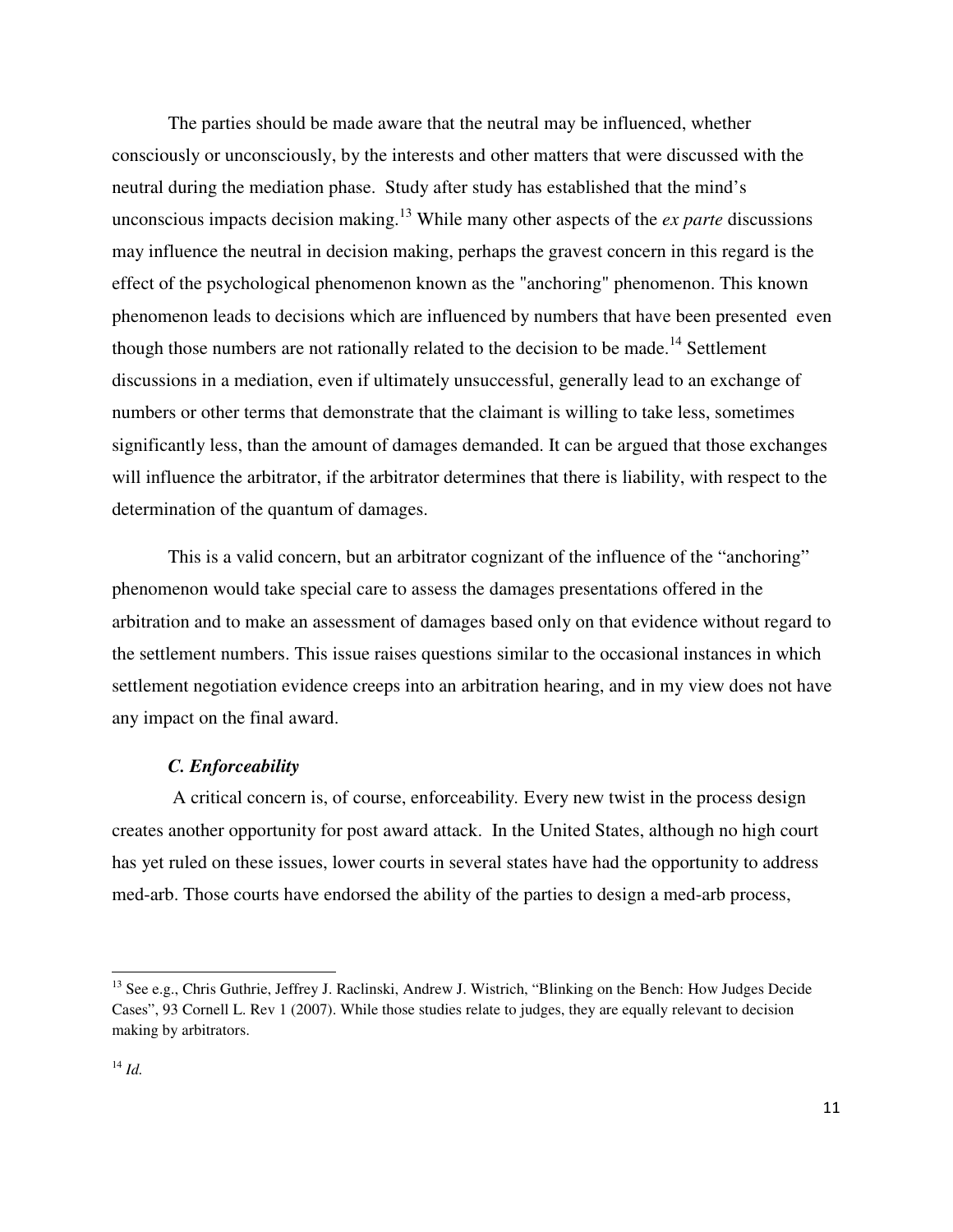The parties should be made aware that the neutral may be influenced, whether consciously or unconsciously, by the interests and other matters that were discussed with the neutral during the mediation phase. Study after study has established that the mind's unconscious impacts decision making.<sup>13</sup> While many other aspects of the *ex parte* discussions may influence the neutral in decision making, perhaps the gravest concern in this regard is the effect of the psychological phenomenon known as the "anchoring" phenomenon. This known phenomenon leads to decisions which are influenced by numbers that have been presented even though those numbers are not rationally related to the decision to be made.<sup>14</sup> Settlement discussions in a mediation, even if ultimately unsuccessful, generally lead to an exchange of numbers or other terms that demonstrate that the claimant is willing to take less, sometimes significantly less, than the amount of damages demanded. It can be argued that those exchanges will influence the arbitrator, if the arbitrator determines that there is liability, with respect to the determination of the quantum of damages.

This is a valid concern, but an arbitrator cognizant of the influence of the "anchoring" phenomenon would take special care to assess the damages presentations offered in the arbitration and to make an assessment of damages based only on that evidence without regard to the settlement numbers. This issue raises questions similar to the occasional instances in which settlement negotiation evidence creeps into an arbitration hearing, and in my view does not have any impact on the final award.

#### *C. Enforceability*

A critical concern is, of course, enforceability*.* Every new twist in the process design creates another opportunity for post award attack.In the United States, although no high court has yet ruled on these issues, lower courts in several states have had the opportunity to address med-arb. Those courts have endorsed the ability of the parties to design a med-arb process,

 $\overline{a}$ 

<sup>&</sup>lt;sup>13</sup> See e.g., Chris Guthrie, Jeffrey J. Raclinski, Andrew J. Wistrich, "Blinking on the Bench: How Judges Decide Cases", 93 Cornell L. Rev 1 (2007). While those studies relate to judges, they are equally relevant to decision making by arbitrators.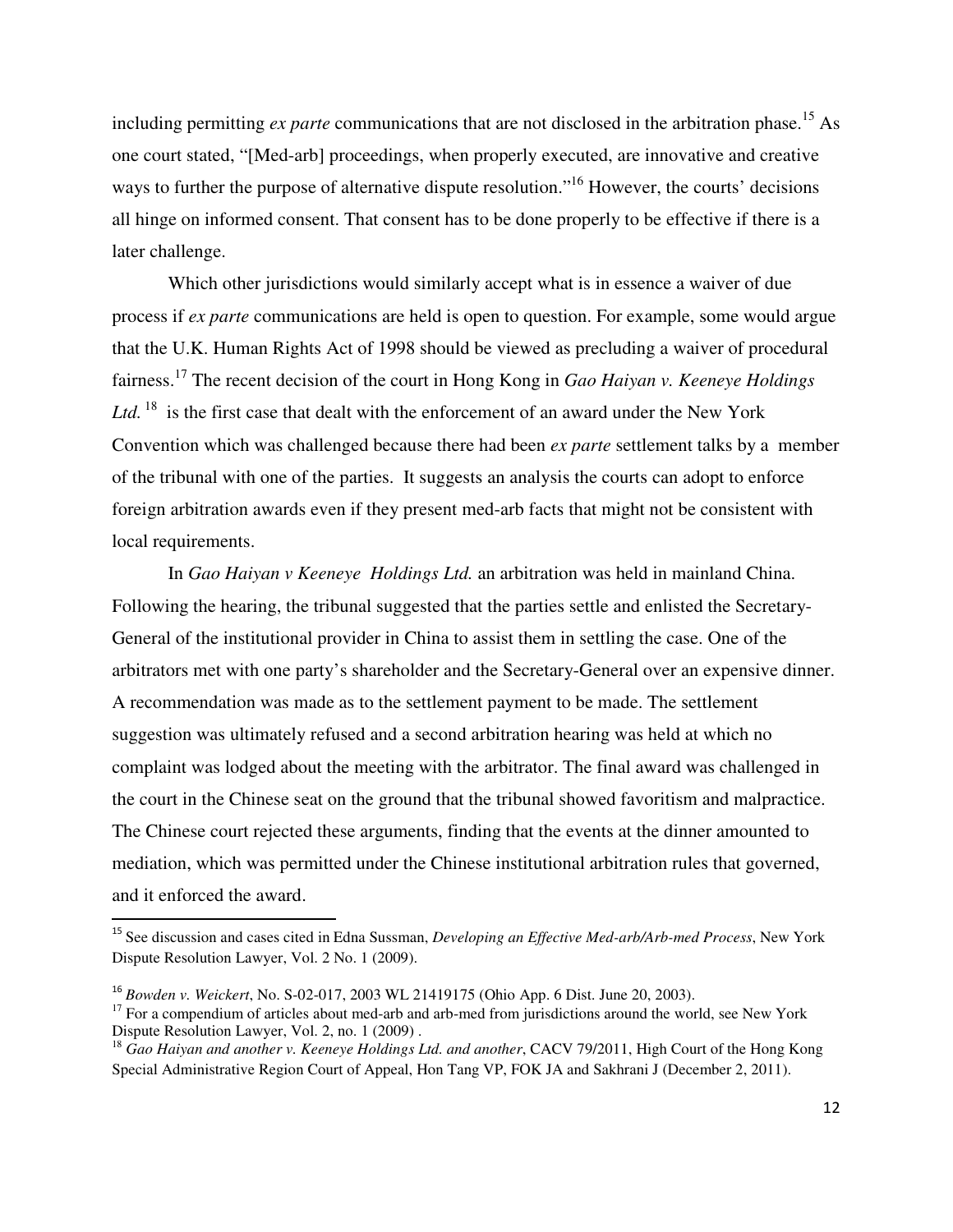including permitting *ex parte* communications that are not disclosed in the arbitration phase.<sup>15</sup> As one court stated, "[Med-arb] proceedings, when properly executed, are innovative and creative ways to further the purpose of alternative dispute resolution."<sup>16</sup> However, the courts' decisions all hinge on informed consent. That consent has to be done properly to be effective if there is a later challenge.

Which other jurisdictions would similarly accept what is in essence a waiver of due process if *ex parte* communications are held is open to question. For example, some would argue that the U.K. Human Rights Act of 1998 should be viewed as precluding a waiver of procedural fairness.<sup>17</sup> The recent decision of the court in Hong Kong in *Gao Haiyan v. Keeneye Holdings*  Ltd.<sup>18</sup> is the first case that dealt with the enforcement of an award under the New York Convention which was challenged because there had been *ex parte* settlement talks by a member of the tribunal with one of the parties. It suggests an analysis the courts can adopt to enforce foreign arbitration awards even if they present med-arb facts that might not be consistent with local requirements.

In *Gao Haiyan v Keeneye Holdings Ltd.* an arbitration was held in mainland China. Following the hearing, the tribunal suggested that the parties settle and enlisted the Secretary-General of the institutional provider in China to assist them in settling the case. One of the arbitrators met with one party's shareholder and the Secretary-General over an expensive dinner. A recommendation was made as to the settlement payment to be made. The settlement suggestion was ultimately refused and a second arbitration hearing was held at which no complaint was lodged about the meeting with the arbitrator. The final award was challenged in the court in the Chinese seat on the ground that the tribunal showed favoritism and malpractice. The Chinese court rejected these arguments, finding that the events at the dinner amounted to mediation, which was permitted under the Chinese institutional arbitration rules that governed, and it enforced the award. l

<sup>15</sup> See discussion and cases cited in Edna Sussman, *Developing an Effective Med-arb/Arb-med Process*, New York Dispute Resolution Lawyer, Vol. 2 No. 1 (2009).

<sup>16</sup> *Bowden v. Weickert*, No. S-02-017, 2003 WL 21419175 (Ohio App. 6 Dist. June 20, 2003).

<sup>&</sup>lt;sup>17</sup> For a compendium of articles about med-arb and arb-med from jurisdictions around the world, see New York Dispute Resolution Lawyer, Vol. 2, no. 1 (2009) .

<sup>&</sup>lt;sup>18</sup> Gao Haiyan and another v. Keeneye Holdings Ltd. and another, CACV 79/2011, High Court of the Hong Kong Special Administrative Region Court of Appeal, Hon Tang VP, FOK JA and Sakhrani J (December 2, 2011).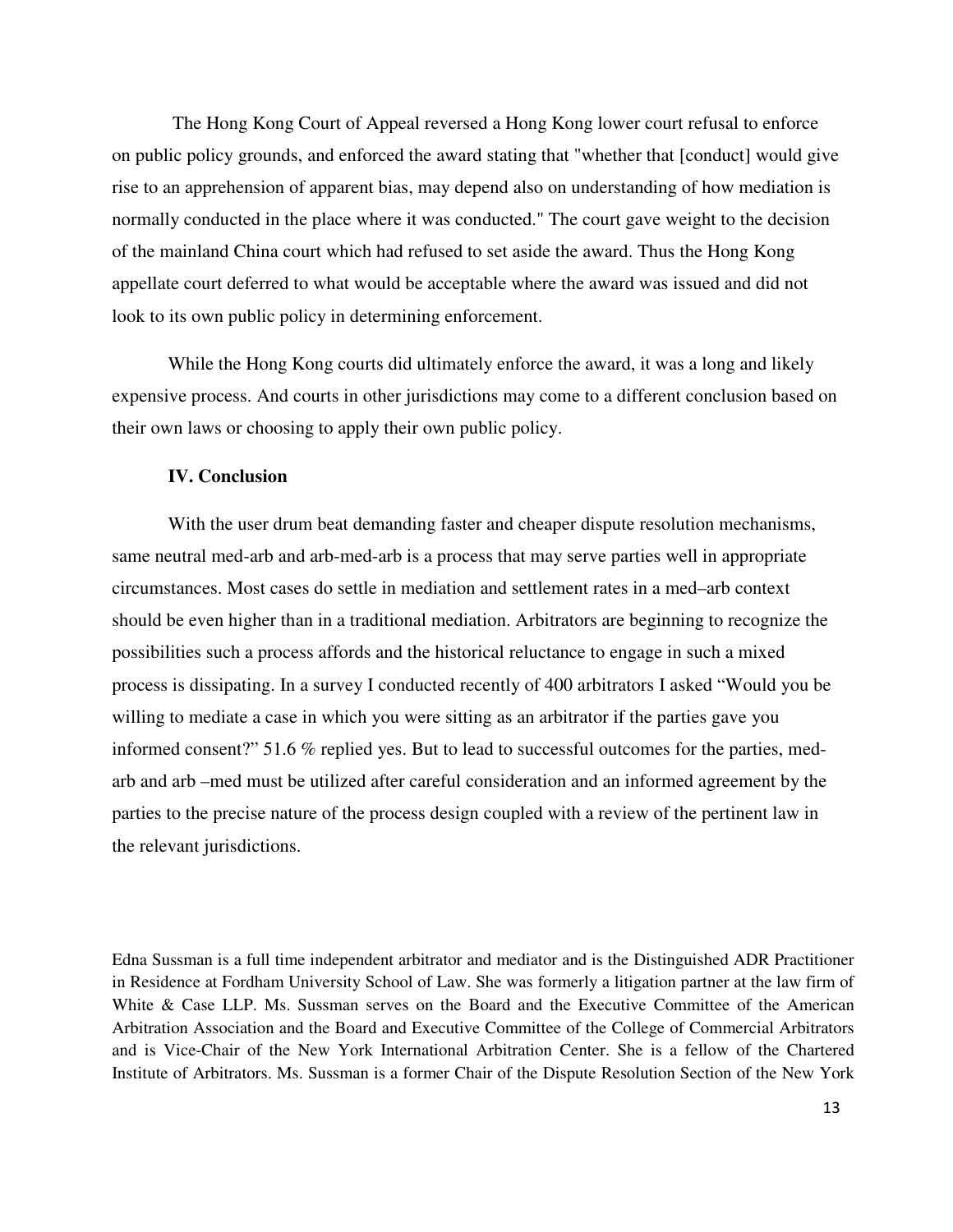The Hong Kong Court of Appeal reversed a Hong Kong lower court refusal to enforce on public policy grounds, and enforced the award stating that "whether that [conduct] would give rise to an apprehension of apparent bias, may depend also on understanding of how mediation is normally conducted in the place where it was conducted." The court gave weight to the decision of the mainland China court which had refused to set aside the award. Thus the Hong Kong appellate court deferred to what would be acceptable where the award was issued and did not look to its own public policy in determining enforcement.

While the Hong Kong courts did ultimately enforce the award, it was a long and likely expensive process. And courts in other jurisdictions may come to a different conclusion based on their own laws or choosing to apply their own public policy.

#### **IV. Conclusion**

With the user drum beat demanding faster and cheaper dispute resolution mechanisms, same neutral med-arb and arb-med-arb is a process that may serve parties well in appropriate circumstances. Most cases do settle in mediation and settlement rates in a med–arb context should be even higher than in a traditional mediation. Arbitrators are beginning to recognize the possibilities such a process affords and the historical reluctance to engage in such a mixed process is dissipating. In a survey I conducted recently of 400 arbitrators I asked "Would you be willing to mediate a case in which you were sitting as an arbitrator if the parties gave you informed consent?" 51.6 % replied yes. But to lead to successful outcomes for the parties, medarb and arb –med must be utilized after careful consideration and an informed agreement by the parties to the precise nature of the process design coupled with a review of the pertinent law in the relevant jurisdictions.

Edna Sussman is a full time independent arbitrator and mediator and is the Distinguished ADR Practitioner in Residence at Fordham University School of Law. She was formerly a litigation partner at the law firm of White & Case LLP. Ms. Sussman serves on the Board and the Executive Committee of the American Arbitration Association and the Board and Executive Committee of the College of Commercial Arbitrators and is Vice-Chair of the New York International Arbitration Center. She is a fellow of the Chartered Institute of Arbitrators. Ms. Sussman is a former Chair of the Dispute Resolution Section of the New York